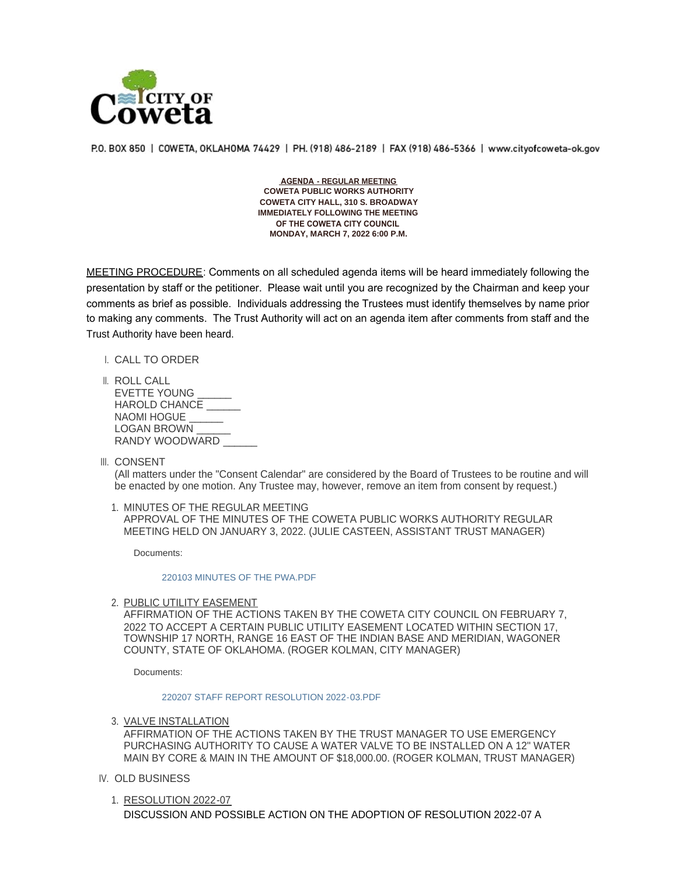

P.O. BOX 850 | COWETA, OKLAHOMA 74429 | PH. (918) 486-2189 | FAX (918) 486-5366 | www.cityofcoweta-ok.gov

 **AGENDA - REGULAR MEETING COWETA PUBLIC WORKS AUTHORITY COWETA CITY HALL, 310 S. BROADWAY IMMEDIATELY FOLLOWING THE MEETING OF THE COWETA CITY COUNCIL MONDAY, MARCH 7, 2022 6:00 P.M.**

MEETING PROCEDURE: Comments on all scheduled agenda items will be heard immediately following the presentation by staff or the petitioner. Please wait until you are recognized by the Chairman and keep your comments as brief as possible. Individuals addressing the Trustees must identify themselves by name prior to making any comments. The Trust Authority will act on an agenda item after comments from staff and the Trust Authority have been heard.

I. CALL TO ORDER

- ROLL CALL II. EVETTE YOUNG HAROLD CHANCE NAOMI HOGUE LOGAN BROWN RANDY WOODWARD
- III. CONSENT

(All matters under the "Consent Calendar" are considered by the Board of Trustees to be routine and will be enacted by one motion. Any Trustee may, however, remove an item from consent by request.)

1. MINUTES OF THE REGULAR MEETING APPROVAL OF THE MINUTES OF THE COWETA PUBLIC WORKS AUTHORITY REGULAR MEETING HELD ON JANUARY 3, 2022. (JULIE CASTEEN, ASSISTANT TRUST MANAGER)

Documents:

[220103 MINUTES OF THE PWA.PDF](http://www.cityofcoweta-ok.gov/AgendaCenter/ViewFile/Item/3211?fileID=3199)

2. <u>PUBLIC UTILITY EASEMENT</u>

AFFIRMATION OF THE ACTIONS TAKEN BY THE COWETA CITY COUNCIL ON FEBRUARY 7, 2022 TO ACCEPT A CERTAIN PUBLIC UTILITY EASEMENT LOCATED WITHIN SECTION 17, TOWNSHIP 17 NORTH, RANGE 16 EAST OF THE INDIAN BASE AND MERIDIAN, WAGONER COUNTY, STATE OF OKLAHOMA. (ROGER KOLMAN, CITY MANAGER)

Documents:

## [220207 STAFF REPORT RESOLUTION 2022-03.PDF](http://www.cityofcoweta-ok.gov/AgendaCenter/ViewFile/Item/3241?fileID=3198)

3. <u>VALVE INSTALLATION</u>

AFFIRMATION OF THE ACTIONS TAKEN BY THE TRUST MANAGER TO USE EMERGENCY PURCHASING AUTHORITY TO CAUSE A WATER VALVE TO BE INSTALLED ON A 12" WATER MAIN BY CORE & MAIN IN THE AMOUNT OF \$18,000.00. (ROGER KOLMAN, TRUST MANAGER)

- IV. OLD BUSINESS
	- 1. RESOLUTION 2022-07 DISCUSSION AND POSSIBLE ACTION ON THE ADOPTION OF RESOLUTION 2022-07 A